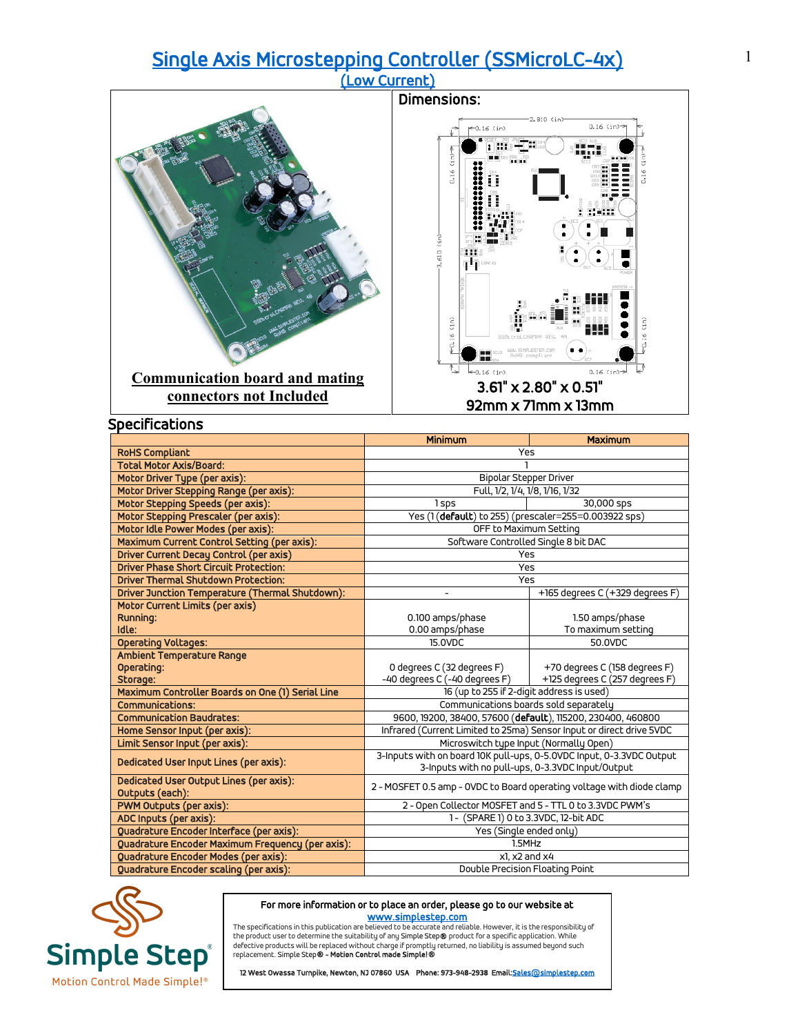## [Single Axis Microstepping Controller \(SSMicroLC-4x\) \(Low Current\)](https://simplestep.com/product/ssmicrolc/)



|                                                            | <b>Minimum</b>                                                        | <b>Maximum</b>                       |  |
|------------------------------------------------------------|-----------------------------------------------------------------------|--------------------------------------|--|
| <b>RoHS Compliant</b>                                      |                                                                       | Yes                                  |  |
| <b>Total Motor Axis/Board:</b>                             |                                                                       |                                      |  |
| Motor Driver Type (per axis):                              | <b>Bipolar Stepper Driver</b>                                         |                                      |  |
| Motor Driver Stepping Range (per axis):                    | Full, 1/2, 1/4, 1/8, 1/16, 1/32                                       |                                      |  |
| Motor Stepping Speeds (per axis):                          | 1 sps                                                                 | 30,000 sps                           |  |
| Motor Stepping Prescaler (per axis):                       | Yes (1(default) to 255) (prescaler=255=0.003922 sps)                  |                                      |  |
| Motor Idle Power Modes (per axis):                         | OFF to Maximum Setting                                                |                                      |  |
| Maximum Current Control Setting (per axis):                | Software Controlled Single 8 bit DAC                                  |                                      |  |
| Driver Current Decay Control (per axis)                    | Yes                                                                   |                                      |  |
| <b>Driver Phase Short Circuit Protection:</b>              | Yes                                                                   |                                      |  |
| <b>Driver Thermal Shutdown Protection:</b>                 | Yes                                                                   |                                      |  |
| Driver Junction Temperature (Thermal Shutdown):            |                                                                       | +165 degrees C (+329 degrees F)      |  |
| Motor Current Limits (per axis)                            |                                                                       |                                      |  |
| Running:                                                   | 0.100 amps/phase                                                      | 1.50 amps/phase                      |  |
| Idle:                                                      | 0.00 amps/phase                                                       | To maximum setting                   |  |
| <b>Operating Voltages:</b>                                 | 15.0VDC                                                               | 50.0VDC                              |  |
| Ambient Temperature Range                                  |                                                                       |                                      |  |
| Operating:                                                 | 0 degrees C (32 degrees F)                                            | +70 degrees C (158 degrees F)        |  |
| Storage:                                                   | -40 degrees C (-40 degrees F)                                         | +125 degrees C (257 degrees F)       |  |
| Maximum Controller Boards on One (1) Serial Line           | 16 (up to 255 if 2-digit address is used)                             |                                      |  |
| Communications:                                            | Communications boards sold separately                                 |                                      |  |
| <b>Communication Baudrates:</b>                            | 9600, 19200, 38400, 57600 (default), 115200, 230400, 460800           |                                      |  |
| Home Sensor Input (per axis):                              | Infrared (Current Limited to 25ma) Sensor Input or direct drive 5VDC  |                                      |  |
| Limit Sensor Input (per axis):                             | Microswitch type Input (Normally Open)                                |                                      |  |
| Dedicated User Input Lines (per axis):                     | 3-Inputs with on board 10K pull-ups, 0-5.0VDC Input, 0-3.3VDC Output  |                                      |  |
|                                                            | 3-Inputs with no pull-ups, 0-3.3VDC Input/Output                      |                                      |  |
| Dedicated User Output Lines (per axis):<br>Outputs (each): | 2 - MOSFET 0.5 amp - OVDC to Board operating voltage with diode clamp |                                      |  |
| PWM Outputs (per axis):                                    | 2 - Open Collector MOSFET and 5 - TTL 0 to 3.3VDC PWM's               |                                      |  |
| ADC Inputs (per axis):                                     |                                                                       | 1- (SPARE 1) 0 to 3.3VDC, 12-bit ADC |  |
| Quadrature Encoder Interface (per axis):                   | Yes (Single ended only)                                               |                                      |  |
| Quadrature Encoder Maximum Frequency (per axis):           |                                                                       | 1.5MHz                               |  |
| Quadrature Encoder Modes (per axis):                       | x1, x2 and x4                                                         |                                      |  |
| <b>Ouadrature Encoder scaling (per axis):</b>              | Double Precision Floating Point                                       |                                      |  |



## For more information or to place an order, please go to our website at

**WWW.Simplestep.com**<br>The specifications in this publication are believed to be accurate and reliable. However, it is the responsibility of<br>defective product swill be replaced without charge if promptly returned, no liabili

12 West Owassa Turnpike, Newton, NJ 07860 USA Phone: 973-948-2938 Email: Sales@simplestep.com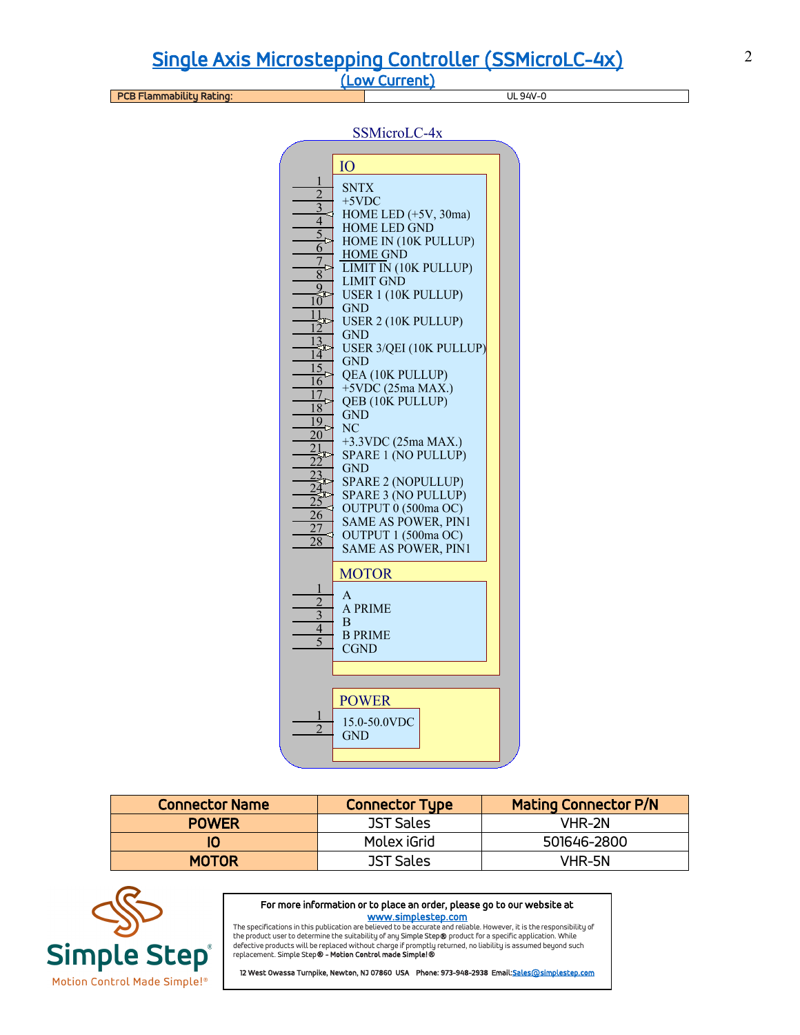[Single Axis Microstepping Controller \(SSMicroLC-4x\) \(Low Current\)](https://simplestep.com/product/ssmicrolc/)

PCB Flammability Rating: UL 94V-0

SSMicroLC-4x

|                 | IO                           |  |
|-----------------|------------------------------|--|
| 1               | SNTX                         |  |
| $\overline{2}$  | +5VDC                        |  |
| 3               | HOME LED (+5V, 30ma)         |  |
| $\overline{4}$  | <b>HOME LED GND</b>          |  |
|                 |                              |  |
| 6               | HOME IN (10K PULLUP)         |  |
| $\overline{7}$  | <b>HOME GND</b>              |  |
| 8               | <b>LIMIT IN (10K PULLUP)</b> |  |
| 9               | <b>LIMIT GND</b>             |  |
| 10              | <b>USER 1 (10K PULLUP)</b>   |  |
| 11              | GND                          |  |
| 12              | <b>USER 2 (10K PULLUP)</b>   |  |
|                 | <b>GND</b>                   |  |
|                 | USER 3/QEI (10K PULLUP)      |  |
| 14              | GND                          |  |
| 15              | QEA (10K PULLUP)             |  |
| 16              | +5VDC (25ma MAX.)            |  |
| 17              | QEB (10K PULLUP)             |  |
| 18              |                              |  |
| 19              | GND                          |  |
| $\overline{20}$ | $_{\rm NC}$                  |  |
| 21              | +3.3VDC (25ma MAX.)          |  |
|                 | SPARE 1 (NO PULLUP)          |  |
|                 | GND                          |  |
|                 | <b>SPARE 2 (NOPULLUP)</b>    |  |
|                 | SPARE 3 (NO PULLUP)          |  |
|                 | OUTPUT 0 (500ma OC)          |  |
| 26              | <b>SAME AS POWER, PIN1</b>   |  |
| 27              | OUTPUT 1 (500ma OC)          |  |
| $\overline{28}$ | <b>SAME AS POWER, PIN1</b>   |  |
|                 |                              |  |
|                 | <b>MOTOR</b>                 |  |
| 1               |                              |  |
|                 | A                            |  |
| $\overline{3}$  | A PRIME                      |  |
|                 | B                            |  |
| 4               | <b>B PRIME</b>               |  |
| 5               | <b>CGND</b>                  |  |
|                 |                              |  |
|                 |                              |  |
|                 |                              |  |
|                 | <b>POWER</b>                 |  |
| ı               |                              |  |
|                 | 15.0-50.0VDC                 |  |
|                 | GND                          |  |
|                 |                              |  |
|                 |                              |  |

| <b>Connector Name</b> | <b>Connector Type</b> | <b>Mating Connector P/N</b> |
|-----------------------|-----------------------|-----------------------------|
| <b>POWER</b>          | <b>JST Sales</b>      | VHR-2N                      |
|                       | Molex iGrid           | 501646-2800                 |
| <b>MOTOR</b>          | <b>JST Sales</b>      | VHR-5N                      |



For more information or to place an order, please go to our website at

www.s<mark>implestep.com</mark><br>The specifications in this publication are believed to be accurate and reliable. However, it is the responsibility of<br>the product user to determine the suitability of any Simple Step**®** product for a s replacement. Simple Step® - Motion Control made Simple!®

12 West Owassa Turnpike, Newton, NJ 07860 USA Phone: 973-948-2938 Email: Sales@simplestep.com